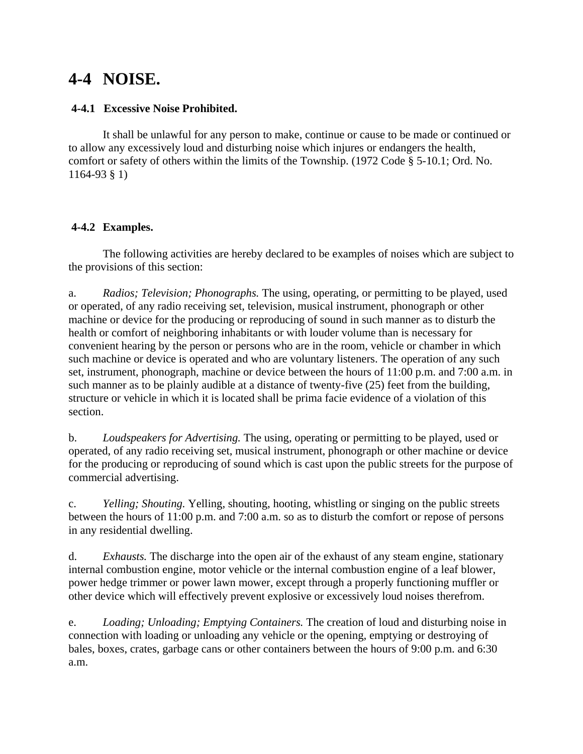# **4-4 NOISE.**

#### **4-4.1 Excessive Noise Prohibited.**

It shall be unlawful for any person to make, continue or cause to be made or continued or to allow any excessively loud and disturbing noise which injures or endangers the health, comfort or safety of others within the limits of the Township. (1972 Code § 5-10.1; Ord. No. 1164-93 § 1)

### **4-4.2 Examples.**

The following activities are hereby declared to be examples of noises which are subject to the provisions of this section:

a. *Radios; Television; Phonographs.* The using, operating, or permitting to be played, used or operated, of any radio receiving set, television, musical instrument, phonograph or other machine or device for the producing or reproducing of sound in such manner as to disturb the health or comfort of neighboring inhabitants or with louder volume than is necessary for convenient hearing by the person or persons who are in the room, vehicle or chamber in which such machine or device is operated and who are voluntary listeners. The operation of any such set, instrument, phonograph, machine or device between the hours of 11:00 p.m. and 7:00 a.m. in such manner as to be plainly audible at a distance of twenty-five (25) feet from the building, structure or vehicle in which it is located shall be prima facie evidence of a violation of this section.

b. *Loudspeakers for Advertising.* The using, operating or permitting to be played, used or operated, of any radio receiving set, musical instrument, phonograph or other machine or device for the producing or reproducing of sound which is cast upon the public streets for the purpose of commercial advertising.

c. *Yelling; Shouting.* Yelling, shouting, hooting, whistling or singing on the public streets between the hours of 11:00 p.m. and 7:00 a.m. so as to disturb the comfort or repose of persons in any residential dwelling.

d. *Exhausts.* The discharge into the open air of the exhaust of any steam engine, stationary internal combustion engine, motor vehicle or the internal combustion engine of a leaf blower, power hedge trimmer or power lawn mower, except through a properly functioning muffler or other device which will effectively prevent explosive or excessively loud noises therefrom.

e. *Loading; Unloading; Emptying Containers.* The creation of loud and disturbing noise in connection with loading or unloading any vehicle or the opening, emptying or destroying of bales, boxes, crates, garbage cans or other containers between the hours of 9:00 p.m. and 6:30 a.m.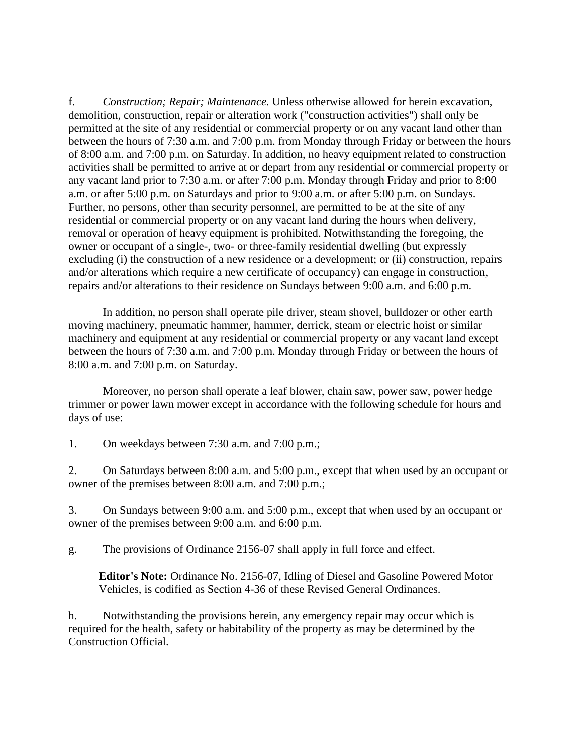f. *Construction; Repair; Maintenance.* Unless otherwise allowed for herein excavation, demolition, construction, repair or alteration work ("construction activities") shall only be permitted at the site of any residential or commercial property or on any vacant land other than between the hours of 7:30 a.m. and 7:00 p.m. from Monday through Friday or between the hours of 8:00 a.m. and 7:00 p.m. on Saturday. In addition, no heavy equipment related to construction activities shall be permitted to arrive at or depart from any residential or commercial property or any vacant land prior to 7:30 a.m. or after 7:00 p.m. Monday through Friday and prior to 8:00 a.m. or after 5:00 p.m. on Saturdays and prior to 9:00 a.m. or after 5:00 p.m. on Sundays. Further, no persons, other than security personnel, are permitted to be at the site of any residential or commercial property or on any vacant land during the hours when delivery, removal or operation of heavy equipment is prohibited. Notwithstanding the foregoing, the owner or occupant of a single-, two- or three-family residential dwelling (but expressly excluding (i) the construction of a new residence or a development; or (ii) construction, repairs and/or alterations which require a new certificate of occupancy) can engage in construction, repairs and/or alterations to their residence on Sundays between 9:00 a.m. and 6:00 p.m.

In addition, no person shall operate pile driver, steam shovel, bulldozer or other earth moving machinery, pneumatic hammer, hammer, derrick, steam or electric hoist or similar machinery and equipment at any residential or commercial property or any vacant land except between the hours of 7:30 a.m. and 7:00 p.m. Monday through Friday or between the hours of 8:00 a.m. and 7:00 p.m. on Saturday.

Moreover, no person shall operate a leaf blower, chain saw, power saw, power hedge trimmer or power lawn mower except in accordance with the following schedule for hours and days of use:

1. On weekdays between 7:30 a.m. and 7:00 p.m.;

2. On Saturdays between 8:00 a.m. and 5:00 p.m., except that when used by an occupant or owner of the premises between 8:00 a.m. and 7:00 p.m.;

3. On Sundays between 9:00 a.m. and 5:00 p.m., except that when used by an occupant or owner of the premises between 9:00 a.m. and 6:00 p.m.

g. The provisions of Ordinance 2156-07 shall apply in full force and effect.

**Editor's Note:** Ordinance No. 2156-07, Idling of Diesel and Gasoline Powered Motor Vehicles, is codified as Section 4-36 of these Revised General Ordinances.

h. Notwithstanding the provisions herein, any emergency repair may occur which is required for the health, safety or habitability of the property as may be determined by the Construction Official.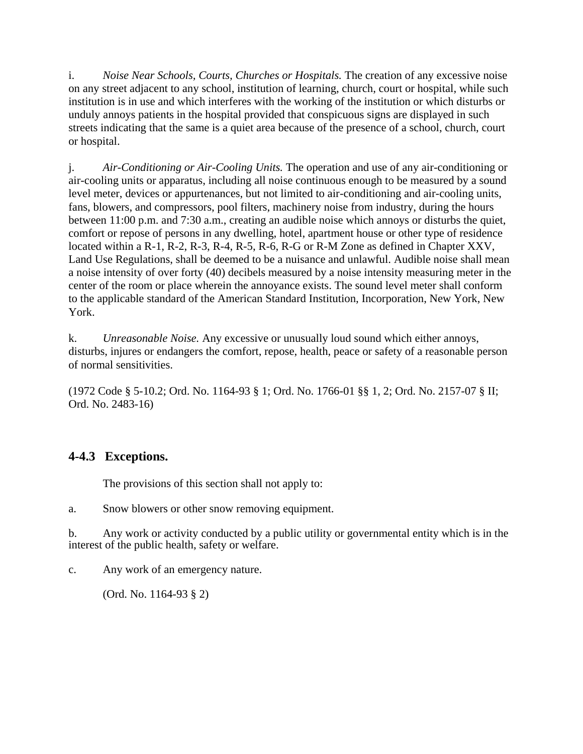i. *Noise Near Schools, Courts, Churches or Hospitals.* The creation of any excessive noise on any street adjacent to any school, institution of learning, church, court or hospital, while such institution is in use and which interferes with the working of the institution or which disturbs or unduly annoys patients in the hospital provided that conspicuous signs are displayed in such streets indicating that the same is a quiet area because of the presence of a school, church, court or hospital.

j. *Air-Conditioning or Air-Cooling Units.* The operation and use of any air-conditioning or air-cooling units or apparatus, including all noise continuous enough to be measured by a sound level meter, devices or appurtenances, but not limited to air-conditioning and air-cooling units, fans, blowers, and compressors, pool filters, machinery noise from industry, during the hours between 11:00 p.m. and 7:30 a.m., creating an audible noise which annoys or disturbs the quiet, comfort or repose of persons in any dwelling, hotel, apartment house or other type of residence located within a R-1, R-2, R-3, R-4, R-5, R-6, R-G or R-M Zone as defined in Chapter XXV, Land Use Regulations, shall be deemed to be a nuisance and unlawful. Audible noise shall mean a noise intensity of over forty (40) decibels measured by a noise intensity measuring meter in the center of the room or place wherein the annoyance exists. The sound level meter shall conform to the applicable standard of the American Standard Institution, Incorporation, New York, New York.

k. *Unreasonable Noise.* Any excessive or unusually loud sound which either annoys, disturbs, injures or endangers the comfort, repose, health, peace or safety of a reasonable person of normal sensitivities.

(1972 Code § 5-10.2; Ord. No. 1164-93 § 1; Ord. No. 1766-01 §§ 1, 2; Ord. No. 2157-07 § II; Ord. No. 2483-16)

## **4-4.3 Exceptions.**

The provisions of this section shall not apply to:

a. Snow blowers or other snow removing equipment.

b. Any work or activity conducted by a public utility or governmental entity which is in the interest of the public health, safety or welfare.

c. Any work of an emergency nature.

(Ord. No. 1164-93 § 2)